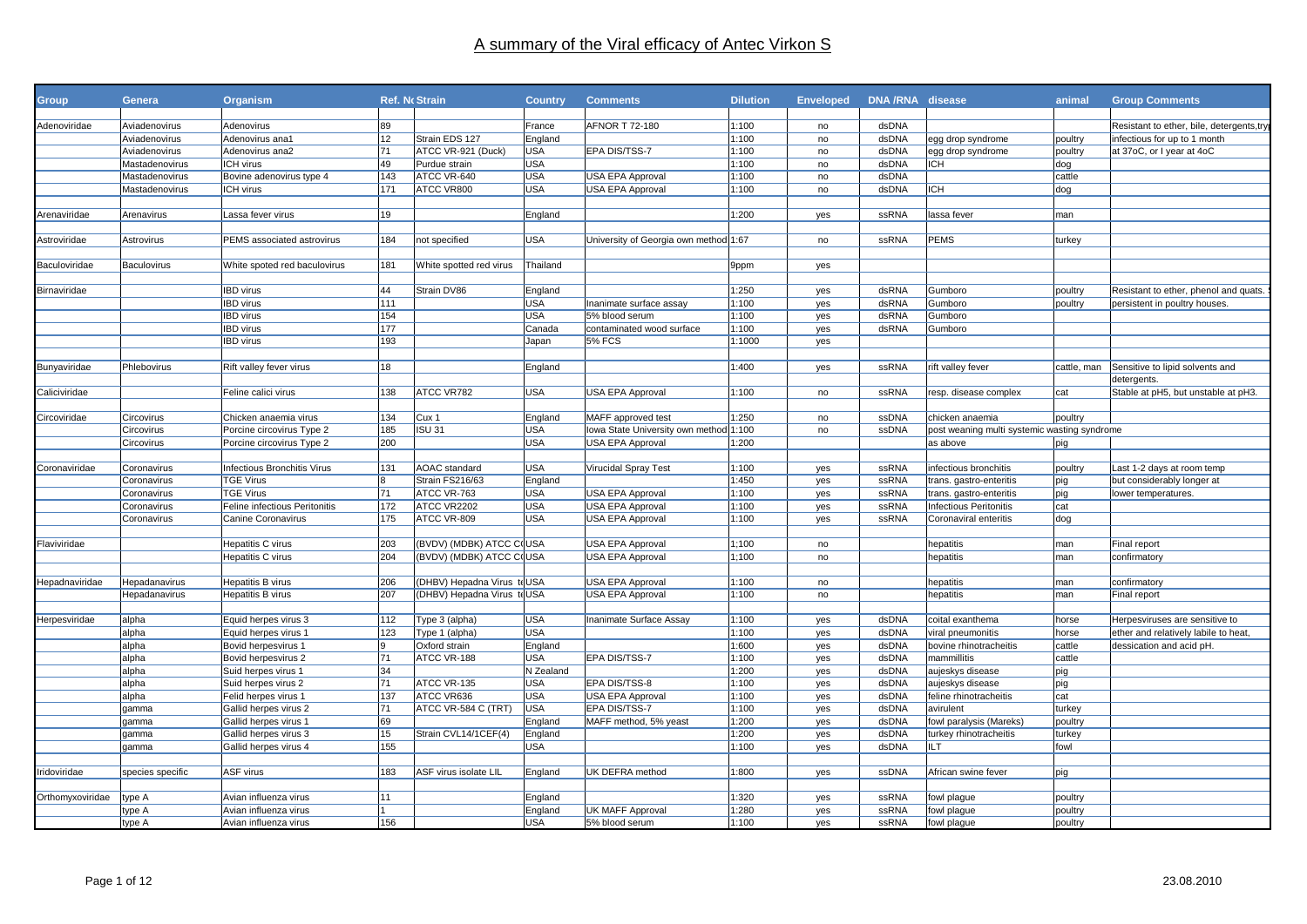| <b>Group</b>     | Genera             | Organism                           |     | <b>Ref. No Strain</b>       | <b>Country</b>        | <b>Comments</b>                        | <b>Dilution</b> | <b>Enveloped</b> | DNA/RNA disease |                                              | animal      | <b>Group Comments</b>                                     |
|------------------|--------------------|------------------------------------|-----|-----------------------------|-----------------------|----------------------------------------|-----------------|------------------|-----------------|----------------------------------------------|-------------|-----------------------------------------------------------|
| Adenoviridae     | Aviadenovirus      | Adenovirus                         | 89  |                             | France                | AFNOR T 72-180                         | 1:100           | no               | dsDNA           |                                              |             | Resistant to ether, bile, detergents, try                 |
|                  |                    |                                    | 12  | Strain EDS 127              |                       |                                        | 1:100           |                  | dsDNA           |                                              |             |                                                           |
|                  | Aviadenovirus      | Adenovirus ana1<br>Adenovirus ana2 | 71  | ATCC VR-921 (Duck)          | England<br>USA        | EPA DIS/TSS-7                          | 1:100           | no<br>no         | dsDNA           | egg drop syndrome<br>egg drop syndrome       | poultry     | infectious for up to 1 month<br>at 37oC, or I year at 4oC |
|                  | Aviadenovirus      |                                    | 49  |                             | <b>USA</b>            |                                        |                 |                  |                 | ICH                                          | poultry     |                                                           |
|                  | Mastadenovirus     | ICH virus                          | 143 | Purdue strain               | <b>USA</b>            |                                        | 1:100<br>1:100  | no               | dsDNA<br>dsDNA  |                                              | dog         |                                                           |
|                  | Mastadenovirus     | Bovine adenovirus type 4           | 171 | ATCC VR-640                 | <b>USA</b>            | USA EPA Approval                       |                 | no               |                 | ICH                                          | cattle      |                                                           |
|                  | Mastadenovirus     | ICH virus                          |     | ATCC VR800                  |                       | USA EPA Approval                       | 1:100           | no               | dsDNA           |                                              | dog         |                                                           |
| Arenaviridae     | Arenavirus         | Lassa fever virus                  | 19  |                             |                       |                                        | 1:200           |                  | ssRNA           | lassa fever                                  | man         |                                                           |
|                  |                    |                                    |     |                             | England               |                                        |                 | yes              |                 |                                              |             |                                                           |
|                  |                    |                                    |     |                             |                       |                                        |                 |                  |                 |                                              |             |                                                           |
| Astroviridae     | Astrovirus         | PEMS associated astrovirus         | 184 | not specified               | <b>USA</b>            | University of Georgia own method 1:67  |                 | no               | ssRNA           | <b>PEMS</b>                                  | turkey      |                                                           |
|                  | <b>Baculovirus</b> |                                    |     | White spotted red virus     | Thailand              |                                        |                 |                  |                 |                                              |             |                                                           |
| Baculoviridae    |                    | White spoted red baculovirus       | 181 |                             |                       |                                        | 9ppm            | yes              |                 |                                              |             |                                                           |
|                  |                    | <b>IBD</b> virus                   | 44  |                             |                       |                                        |                 |                  | dsRNA           |                                              |             |                                                           |
| Birnaviridae     |                    | <b>IBD</b> virus                   | 111 | Strain DV86                 | England<br><b>USA</b> |                                        | 1:250<br>1:100  | yes              | dsRNA           | Gumboro<br>Gumboro                           | poultry     | Resistant to ether, phenol and quats.                     |
|                  |                    | <b>IBD</b> virus                   | 154 |                             | <b>USA</b>            | Inanimate surface assay                |                 | yes              |                 |                                              | poultry     | persistent in poultry houses.                             |
|                  |                    | <b>IBD</b> virus                   | 177 |                             |                       | 5% blood serum                         | 1:100           | yes              | dsRNA           | Gumboro                                      |             |                                                           |
|                  |                    | <b>IBD</b> virus                   | 193 |                             | Canada                | contaminated wood surface              | 1:100           | yes              | dsRNA           | Gumboro                                      |             |                                                           |
|                  |                    |                                    |     |                             | Japan                 | <b>5% FCS</b>                          | 1:1000          | yes              |                 |                                              |             |                                                           |
|                  |                    |                                    |     |                             |                       |                                        | 1:400           |                  |                 |                                              |             |                                                           |
| Bunyaviridae     | Phlebovirus        | Rift valley fever virus            | 18  |                             | England               |                                        |                 | yes              | ssRNA           | rift valley fever                            | cattle, man | Sensitive to lipid solvents and                           |
|                  |                    |                                    |     |                             |                       |                                        |                 |                  |                 |                                              |             | detergents.                                               |
| Caliciviridae    |                    | Feline calici virus                | 138 | ATCC VR782                  | <b>USA</b>            | <b>USA EPA Approval</b>                | 1:100           | no               | ssRNA           | resp. disease complex                        | cat         | Stable at pH5, but unstable at pH3.                       |
|                  |                    |                                    |     |                             |                       |                                        |                 |                  |                 |                                              |             |                                                           |
| Circoviridae     | Circovirus         | Chicken anaemia virus              | 134 | Cux 1                       | England               | MAFF approved test                     | 1:250           | no               | ssDNA           | chicken anaemia                              | poultry     |                                                           |
|                  | Circovirus         | Porcine circovirus Type 2          | 185 | <b>ISU 31</b>               | <b>USA</b>            | Iowa State University own method 1:100 |                 | no               | ssDNA           | post weaning multi systemic wasting syndrome |             |                                                           |
|                  | Circovirus         | Porcine circovirus Type 2          | 200 |                             | USA                   | USA EPA Approval                       | 1:200           |                  |                 | as above                                     | pig         |                                                           |
|                  |                    |                                    |     |                             |                       |                                        |                 |                  |                 |                                              |             |                                                           |
| Coronaviridae    | Coronavirus        | Infectious Bronchitis Virus        | 131 | <b>AOAC</b> standard        | <b>USA</b>            | Virucidal Spray Test                   | 1:100           | yes              | ssRNA           | nfectious bronchitis                         | poultry     | Last 1-2 days at room temp                                |
|                  | Coronavirus        | <b>TGE Virus</b>                   |     | Strain FS216/63             | England               |                                        | 1:450           | yes              | ssRNA           | trans. gastro-enteritis                      | pig         | but considerably longer at                                |
|                  | Coronavirus        | <b>TGE Virus</b>                   | 71  | ATCC VR-763                 | <b>USA</b>            | <b>USA EPA Approval</b>                | 1:100           | yes              | ssRNA           | trans. gastro-enteritis                      | pig         | lower temperatures.                                       |
|                  | Coronavirus        | Feline infectious Peritonitis      | 172 | ATCC VR2202                 | <b>USA</b>            | USA EPA Approval                       | 1:100           | yes              | ssRNA           | <b>Infectious Peritonitis</b>                | cat         |                                                           |
|                  | Coronavirus        | Canine Coronavirus                 | 175 | ATCC VR-809                 | <b>USA</b>            | <b>USA EPA Approval</b>                | 1:100           | yes              | ssRNA           | Coronaviral enteritis                        | dog         |                                                           |
|                  |                    |                                    |     |                             |                       |                                        |                 |                  |                 |                                              |             |                                                           |
| Flaviviridae     |                    | Hepatitis C virus                  | 203 | (BVDV) (MDBK) ATCC COUSA    |                       | <b>USA EPA Approval</b>                | 1:100           | no               |                 | hepatitis                                    | man         | Final report                                              |
|                  |                    | Hepatitis C virus                  | 204 | (BVDV) (MDBK) ATCC C(USA    |                       | USA EPA Approval                       | 1:100           | no               |                 | hepatitis                                    | man         | confirmatory                                              |
|                  |                    |                                    |     |                             |                       |                                        |                 |                  |                 |                                              |             |                                                           |
| Hepadnaviridae   | Hepadanavirus      | Hepatitis B virus                  | 206 | (DHBV) Hepadna Virus to USA |                       | USA EPA Approval                       | 1:100           | no               |                 | hepatitis                                    | man         | confirmatory                                              |
|                  | Hepadanavirus      | Hepatitis B virus                  | 207 | (DHBV) Hepadna Virus to USA |                       | <b>USA EPA Approval</b>                | 1:100           | no               |                 | hepatitis                                    | man         | Final report                                              |
|                  |                    |                                    |     |                             |                       |                                        |                 |                  |                 |                                              |             |                                                           |
| Herpesviridae    | alpha              | Equid herpes virus 3               | 112 | Type 3 (alpha)              | USA                   | Inanimate Surface Assay                | 1:100           | yes              | dsDNA           | coital exanthema                             | horse       | Herpesviruses are sensitive to                            |
|                  | alpha              | Equid herpes virus 1               | 123 | Type 1 (alpha)              | <b>USA</b>            |                                        | 1:100           | yes              | dsDNA           | viral pneumonitis                            | horse       | ether and relatively labile to heat,                      |
|                  | alpha              | Bovid herpesvirus 1                |     | Oxford strain               | England               |                                        | 1:600           | yes              | dsDNA           | bovine rhinotracheitis                       | cattle      | dessication and acid pH.                                  |
|                  | alpha              | Bovid herpesvirus 2                | 71  | ATCC VR-188                 | <b>USA</b>            | EPA DIS/TSS-7                          | 1:100           | yes              | dsDNA           | nammillitis                                  | cattle      |                                                           |
|                  | alpha              | Suid herpes virus 1                | 34  |                             | N Zealand             |                                        | 1:200           | yes              | dsDNA           | aujeskys disease                             | pig         |                                                           |
|                  | alpha              | Suid herpes virus 2                | 71  | ATCC VR-135                 | <b>USA</b>            | EPA DIS/TSS-8                          | 1:100           | yes              | dsDNA           | aujeskys disease                             | pig         |                                                           |
|                  | alpha              | Felid herpes virus 1               | 137 | ATCC VR636                  | <b>USA</b>            | <b>USA EPA Approval</b>                | 1:100           | yes              | dsDNA           | feline rhinotracheitis                       | cat         |                                                           |
|                  | gamma              | Gallid herpes virus 2              | 71  | ATCC VR-584 C (TRT)         | <b>USA</b>            | EPA DIS/TSS-7                          | 1:100           | yes              | dsDNA           | avirulent                                    | turkey      |                                                           |
|                  | qamma              | Gallid herpes virus 1              | 69  |                             | England               | MAFF method, 5% yeast                  | 1:200           | yes              | dsDNA           | fowl paralysis (Mareks)                      | poultry     |                                                           |
|                  | qamma              | Gallid herpes virus 3              | 15  | Strain CVL14/1CEF(4)        | England               |                                        | 1:200           | yes              | dsDNA           | turkey rhinotracheitis                       | turkey      |                                                           |
|                  | qamma              | Gallid herpes virus 4              | 155 |                             | <b>USA</b>            |                                        | 1:100           | yes              | dsDNA           | LT.                                          | fowl        |                                                           |
|                  |                    |                                    |     |                             |                       |                                        |                 |                  |                 |                                              |             |                                                           |
| Iridoviridae     | species specific   | <b>ASF</b> virus                   | 183 | ASF virus isolate LIL       | England               | UK DEFRA method                        | 1:800           | yes              | ssDNA           | African swine fever                          | pig         |                                                           |
|                  |                    |                                    |     |                             |                       |                                        |                 |                  |                 |                                              |             |                                                           |
| Orthomyxoviridae | type A             | Avian influenza virus              | 11  |                             | England               |                                        | 1:320           | yes              | <b>ssRNA</b>    | fowl plague                                  | poultry     |                                                           |
|                  | type A             | Avian influenza virus              |     |                             | England               | <b>UK MAFF Approval</b>                | 1:280           | yes              | ssRNA           | fowl plague                                  | poultry     |                                                           |
|                  | type A             | Avian influenza virus              | 156 |                             | <b>USA</b>            | 5% blood serum                         | 1:100           | yes              | ssRNA           | fowl plague                                  | poultry     |                                                           |
|                  |                    |                                    |     |                             |                       |                                        |                 |                  |                 |                                              |             |                                                           |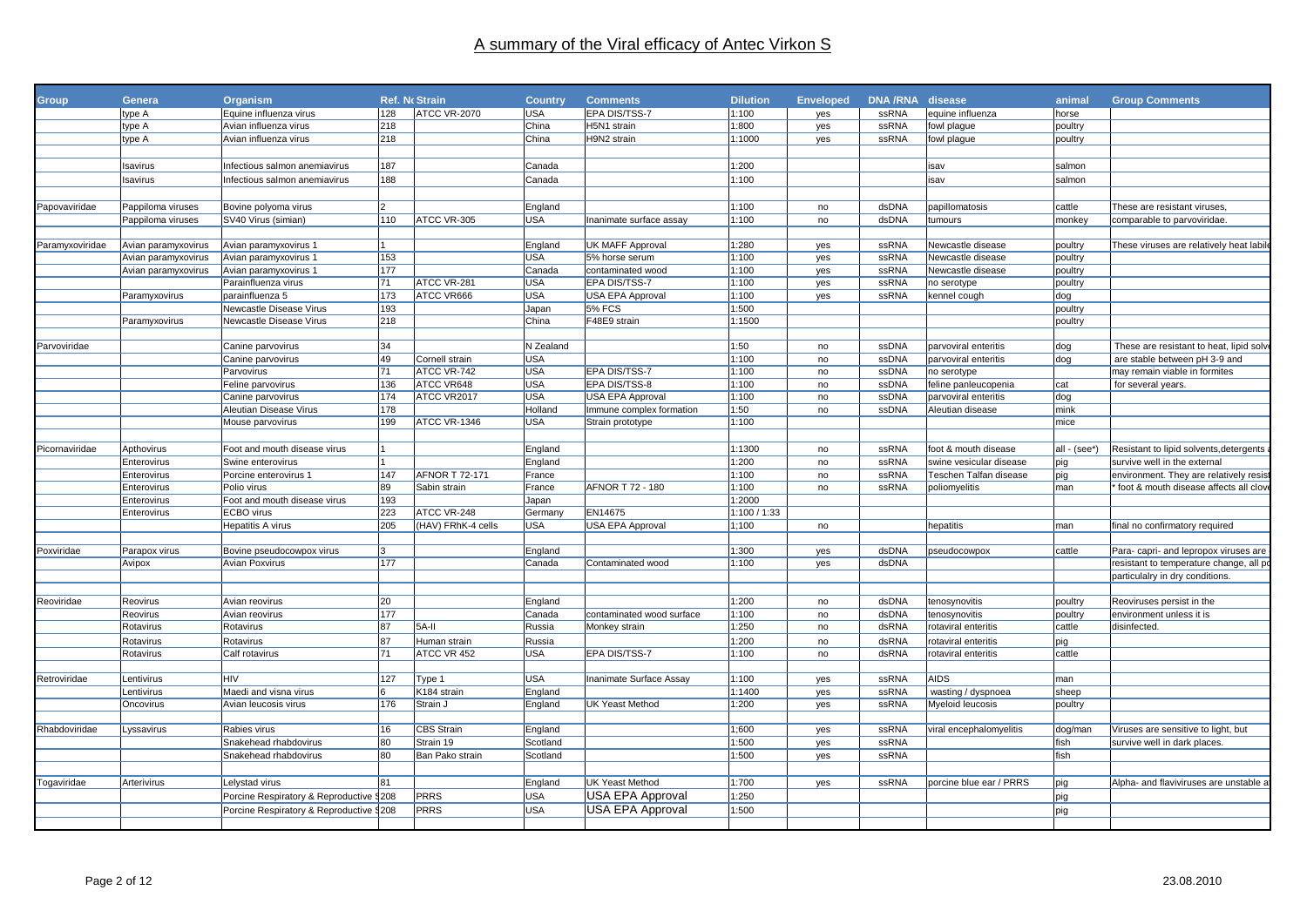| <b>Group</b>    | Genera              | Organism                                 |     | <b>Ref. No Strain</b> | <b>Country</b> | <b>Comments</b>                | <b>Dilution</b> | <b>Enveloped</b> | DNA/RNA disease |                         | animal       | <b>Group Comments</b>                   |
|-----------------|---------------------|------------------------------------------|-----|-----------------------|----------------|--------------------------------|-----------------|------------------|-----------------|-------------------------|--------------|-----------------------------------------|
|                 | type A              | Equine influenza virus                   | 128 | <b>ATCC VR-2070</b>   | <b>USA</b>     | EPA DIS/TSS-7                  | 1:100           | yes              | <b>ssRNA</b>    | equine influenza        | horse        |                                         |
|                 | type A              | Avian influenza virus                    | 218 |                       | China          | H5N1 strain                    | :800            | yes              | ssRNA           | fowl plague             | poultry      |                                         |
|                 | type A              | Avian influenza virus                    | 218 |                       | China          | H9N2 strain                    | 1:1000          | yes              | ssRNA           | fowl plague             | poultry      |                                         |
|                 |                     |                                          |     |                       |                |                                |                 |                  |                 |                         |              |                                         |
|                 | Isavirus            | Infectious salmon anemiavirus            | 187 |                       | Canada         |                                | :200            |                  |                 | isav                    | salmon       |                                         |
|                 | Isavirus            | Infectious salmon anemiavirus            | 188 |                       | Canada         |                                | 1:100           |                  |                 | isav                    | salmon       |                                         |
|                 |                     |                                          |     |                       |                |                                |                 |                  |                 |                         |              |                                         |
| Papovaviridae   | Pappiloma viruses   | Bovine polyoma virus                     |     |                       | England        |                                | 1:100           | no               | dsDNA           | papillomatosis          | cattle       | These are resistant viruses,            |
|                 |                     | SV40 Virus (simian)                      | 110 | ATCC VR-305           | <b>USA</b>     | Inanimate surface assav        | 1:100           | no               | dsDNA           | tumours                 | monkev       |                                         |
|                 | Pappiloma viruses   |                                          |     |                       |                |                                |                 |                  |                 |                         |              | comparable to parvoviridae.             |
| Paramyxoviridae | Avian paramyxovirus | Avian paramyxovirus 1                    |     |                       | England        | <b>UK MAFF Approval</b>        | 1:280           | yes              | <b>ssRNA</b>    | Newcastle disease       | poultry      | These viruses are relatively heat labil |
|                 | Avian paramyxovirus | Avian paramyxovirus 1                    | 153 |                       | <b>USA</b>     | 5% horse serum                 | 1:100           | yes              | ssRNA           | Newcastle disease       | poultry      |                                         |
|                 | Avian paramyxovirus | Avian paramyxovirus 1                    | 177 |                       | Canada         | contaminated wood              | 1:100           | yes              | ssRNA           | Newcastle disease       | poultry      |                                         |
|                 |                     | Parainfluenza virus                      | 71  | ATCC VR-281           | <b>USA</b>     | EPA DIS/TSS-7                  | 1:100           | yes              | ssRNA           | no serotype             | poultry      |                                         |
|                 | Paramyxovirus       | parainfluenza 5                          | 173 | ATCC VR666            | <b>USA</b>     | USA EPA Approval               | 1:100           | yes              | ssRNA           | kennel cough            | dog          |                                         |
|                 |                     | Newcastle Disease Virus                  | 193 |                       | Japan          | <b>5% FCS</b>                  | 1:500           |                  |                 |                         | poultry      |                                         |
|                 | Paramyxovirus       | Newcastle Disease Virus                  | 218 |                       | China          | F48E9 strain                   | :1500           |                  |                 |                         | poultry      |                                         |
|                 |                     |                                          |     |                       |                |                                |                 |                  |                 |                         |              |                                         |
| Parvoviridae    |                     | Canine parvovirus                        | 34  |                       | N Zealand      |                                | 1:50            | no               | ssDNA           | parvoviral enteritis    | dog          | These are resistant to heat, lipid solv |
|                 |                     | Canine parvovirus                        | 49  | Cornell strain        | <b>USA</b>     |                                | 1:100           | no               | ssDNA           | parvoviral enteritis    | dog          | are stable between pH 3-9 and           |
|                 |                     | Parvovirus                               | 71  | ATCC VR-742           | <b>USA</b>     | EPA DIS/TSS-7                  | 1:100           | no               | ssDNA           | no serotype             |              | may remain viable in formites           |
|                 |                     | Feline parvovirus                        | 136 | ATCC VR648            | <b>USA</b>     | EPA DIS/TSS-8                  | 1:100           | no               | ssDNA           | feline panleucopenia    | cat          | for several years.                      |
|                 |                     | Canine parvovirus                        | 174 | ATCC VR2017           | <b>USA</b>     | USA EPA Approval               | 1:100           | no               | ssDNA           | parvoviral enteritis    | dog          |                                         |
|                 |                     | Aleutian Disease Virus                   | 178 |                       | Holland        | Immune complex formation       | 1:50            | no               | ssDNA           | Aleutian disease        | mink         |                                         |
|                 |                     | Mouse parvovirus                         | 199 | ATCC VR-1346          | <b>USA</b>     | Strain prototype               | 1:100           |                  |                 |                         | mice         |                                         |
|                 |                     |                                          |     |                       |                |                                |                 |                  |                 |                         |              |                                         |
| Picornaviridae  | Apthovirus          | Foot and mouth disease virus             |     |                       | England        |                                | 1:1300          | no               | ssRNA           | foot & mouth disease    | all - (see*) | Resistant to lipid solvents, detergents |
|                 | Enterovirus         | Swine enterovirus                        |     |                       | England        |                                | :200            | no               | ssRNA           | swine vesicular disease | piq          | survive well in the external            |
|                 | Enterovirus         | Porcine enterovirus 1                    | 147 | AFNOR T 72-171        | France         |                                | 1:100           | no               | ssRNA           | Teschen Talfan disease  | pig          | environment. They are relatively resis  |
|                 | Enterovirus         | Polio virus                              | 89  | Sabin strain          | France         | AFNOR T 72 - 180               | 1:100           | no               | ssRNA           | poliomyelitis           | man          | foot & mouth disease affects all clov   |
|                 | Enterovirus         | Foot and mouth disease virus             | 193 |                       | Japan          |                                | 1:2000          |                  |                 |                         |              |                                         |
|                 | Enterovirus         | ECBO virus                               | 223 | ATCC VR-248           | Germany        | EN14675                        | 1:100 / 1:33    |                  |                 |                         |              |                                         |
|                 |                     | Hepatitis A virus                        | 205 | (HAV) FRhK-4 cells    | <b>USA</b>     | USA EPA Approval               | 1:100           | no               |                 | hepatitis               | man          | final no confirmatory required          |
|                 |                     |                                          |     |                       |                |                                |                 |                  |                 |                         |              |                                         |
| Poxviridae      | Parapox virus       | Bovine pseudocowpox virus                |     |                       | England        |                                | 1:300           | yes              | dsDNA           | pseudocowpox            | cattle       | Para- capri- and lepropox viruses are   |
|                 | Avipox              | Avian Poxvirus                           | 177 |                       | Canada         | Contaminated wood              | 1:100           | yes              | dsDNA           |                         |              | resistant to temperature change, all po |
|                 |                     |                                          |     |                       |                |                                |                 |                  |                 |                         |              | particulalry in dry conditions.         |
|                 |                     |                                          |     |                       |                |                                |                 |                  |                 |                         |              |                                         |
| Reoviridae      | Reovirus            | Avian reovirus                           | 20  |                       | England        |                                | 1:200           | no               | dsDNA           | tenosynovitis           | poultry      | Reoviruses persist in the               |
|                 | Reovirus            | Avian reovirus                           | 177 |                       | Canada         | contaminated wood surface      | 1:100           | no               | dsDNA           | tenosynovitis           | poultry      | environment unless it is                |
|                 | Rotavirus           | Rotavirus                                | 87  | 5A-II                 | Russia         | Monkey strain                  | 1:250           | no               | dsRNA           | rotaviral enteritis     | cattle       | disinfected.                            |
|                 | Rotavirus           | Rotavirus                                | 87  | Human strain          | Russia         |                                | 1:200           | no               | dsRNA           | rotaviral enteritis     | pig          |                                         |
|                 | Rotavirus           | Calf rotavirus                           | 71  | ATCC VR 452           | <b>USA</b>     | EPA DIS/TSS-7                  | 1:100           | no               | dsRNA           | rotaviral enteritis     | cattle       |                                         |
|                 |                     |                                          |     |                       |                |                                |                 |                  |                 |                         |              |                                         |
| Retroviridae    | Lentivirus          | <b>HIV</b>                               | 127 | Type 1                | <b>USA</b>     | <b>Inanimate Surface Assay</b> | 1:100           | yes              | ssRNA           | AIDS                    | man          |                                         |
|                 | Lentivirus          | Maedi and visna virus                    |     | K184 strain           | England        |                                | 1:1400          | yes              | ssRNA           | wasting / dyspnoea      | sheep        |                                         |
|                 | Oncovirus           | Avian leucosis virus                     | 176 | Strain J              | England        | UK Yeast Method                | 1:200           | yes              | ssRNA           | Myeloid leucosis        | poultry      |                                         |
|                 |                     |                                          |     |                       |                |                                |                 |                  |                 |                         |              |                                         |
| Rhabdoviridae   | Lyssavirus          | Rabies virus                             | 16  | <b>CBS</b> Strain     | England        |                                | 1:600           | yes              | ssRNA           | viral encephalomyelitis | dog/man      | Viruses are sensitive to light, but     |
|                 |                     | Snakehead rhabdovirus                    | 80  | Strain 19             | Scotland       |                                | :500            | yes              | ssRNA           |                         | fish         | survive well in dark places.            |
|                 |                     | Snakehead rhabdovirus                    | 80  | Ban Pako strain       | Scotland       |                                | :500            | yes              | ssRNA           |                         | fish         |                                         |
|                 |                     |                                          |     |                       |                |                                |                 |                  |                 |                         |              |                                         |
| ogaviridae      | Arterivirus         | Lelystad virus                           | 81  |                       | England        | <b>UK Yeast Method</b>         | 1:700           | yes              | ssRNA           | porcine blue ear / PRRS | pig          | Alpha- and flaviviruses are unstable a  |
|                 |                     | Porcine Respiratory & Reproductive §208  |     | <b>PRRS</b>           | <b>USA</b>     | USA EPA Approval               | 1:250           |                  |                 |                         | pig          |                                         |
|                 |                     | Porcine Respiratory & Reproductive \$208 |     | <b>PRRS</b>           | <b>USA</b>     | USA EPA Approval               | 1:500           |                  |                 |                         |              |                                         |
|                 |                     |                                          |     |                       |                |                                |                 |                  |                 |                         | pig          |                                         |
|                 |                     |                                          |     |                       |                |                                |                 |                  |                 |                         |              |                                         |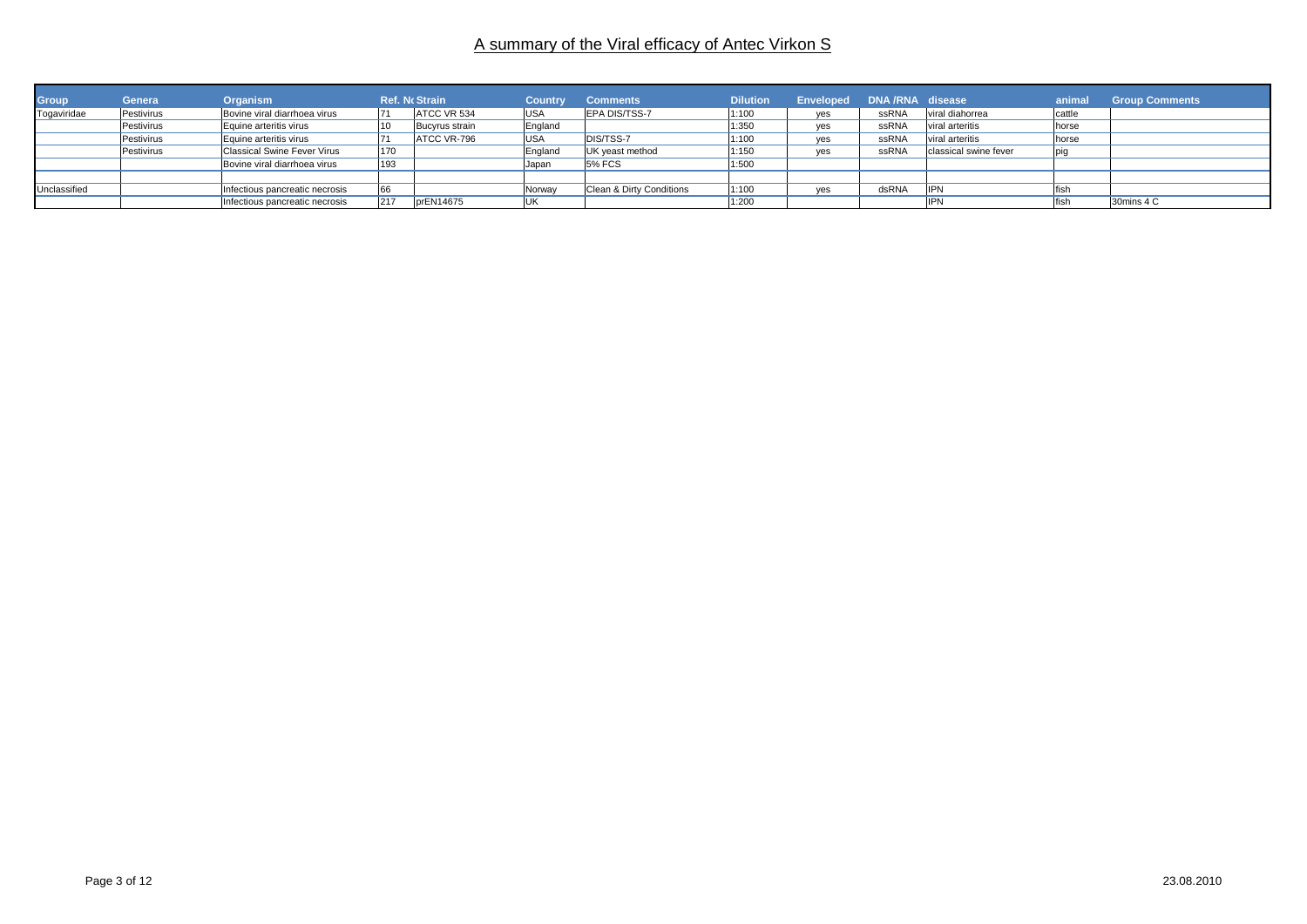| Group        | Genera     | <b>Organism</b>                    |     | <b>Ref. No Strain</b> | Country    | <b>Comments</b>          | <b>Dilution</b> | Enveloped DNA/RNA disease |       |                       | animal | <b>Group Comments</b> |
|--------------|------------|------------------------------------|-----|-----------------------|------------|--------------------------|-----------------|---------------------------|-------|-----------------------|--------|-----------------------|
| Togaviridae  | Pestivirus | Bovine viral diarrhoea virus       | 71  | ATCC VR 534           | <b>USA</b> | <b>EPA DIS/TSS-7</b>     | 1:100           | yes                       | ssRNA | viral diahorrea       | cattle |                       |
|              | Pestivirus | Equine arteritis virus             | 10  | Bucyrus strain        | England    |                          | 1:350           | yes                       | ssRNA | viral arteritis       | horse  |                       |
|              | Pestivirus | Equine arteritis virus             |     | ATCC VR-796           | <b>USA</b> | DIS/TSS-7                | 1:100           | yes                       | ssRNA | viral arteritis       | horse  |                       |
|              | Pestivirus | <b>Classical Swine Fever Virus</b> | 170 |                       | England    | UK yeast method          | 1:150           | ves                       | ssRNA | classical swine fever |        |                       |
|              |            | Bovine viral diarrhoea virus       | 193 |                       | Japan      | <b>5% FCS</b>            | 1:500           |                           |       |                       |        |                       |
|              |            |                                    |     |                       |            |                          |                 |                           |       |                       |        |                       |
| Unclassified |            | Infectious pancreatic necrosis     | 66  |                       | Norway     | Clean & Dirty Conditions | 1:100           | ves                       | dsRNA | <b>IIPN</b>           | fish   |                       |
|              |            | Infectious pancreatic necrosis     | 217 | prEN14675             |            |                          | 1:200           |                           |       | lipn                  | fish   | 30mins 4 C            |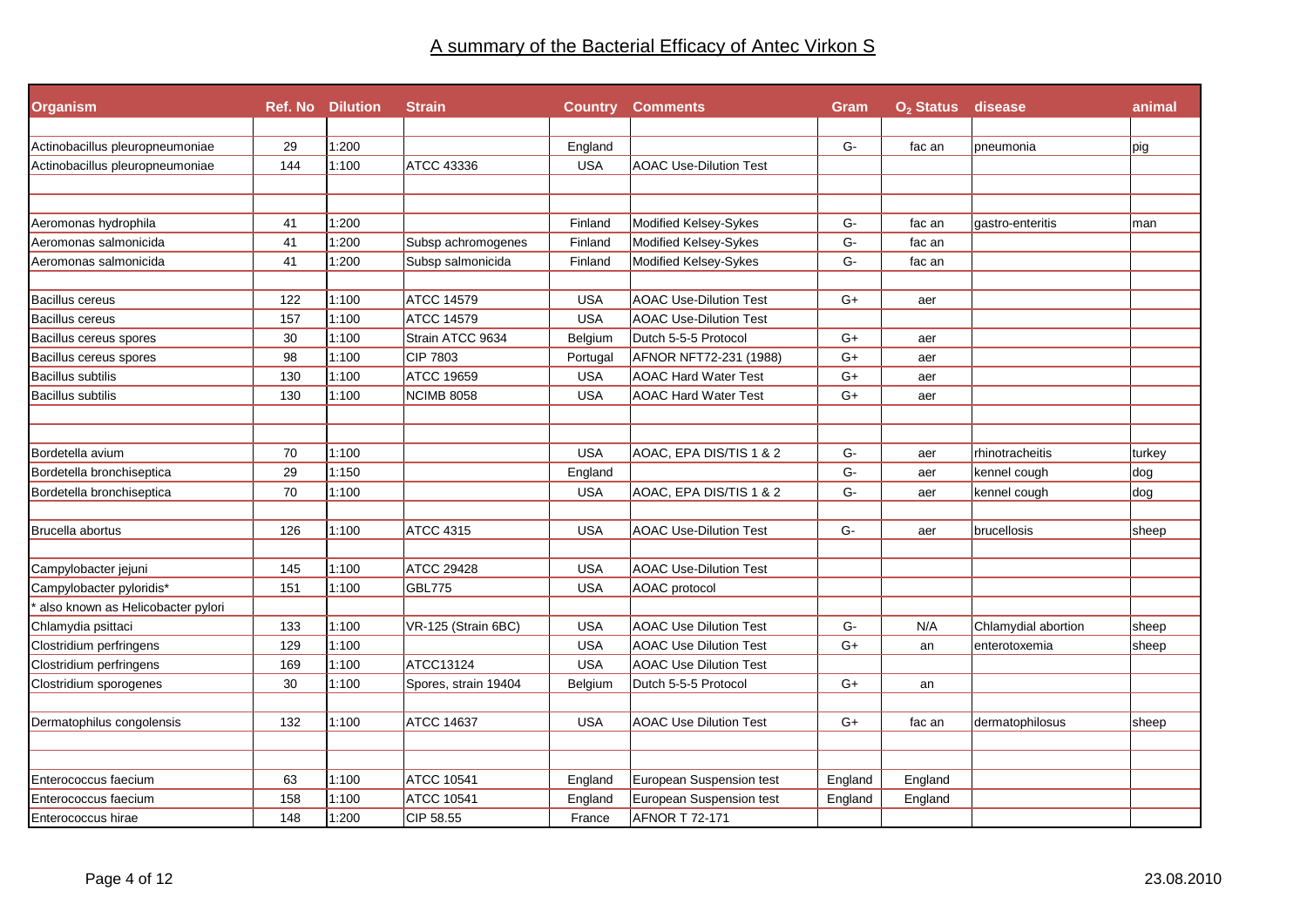| <b>Organism</b>                   |     | <b>Ref. No Dilution</b> | <b>Strain</b>        |            | <b>Country Comments</b>       | Gram    | O <sub>2</sub> Status disease |                     | animal |
|-----------------------------------|-----|-------------------------|----------------------|------------|-------------------------------|---------|-------------------------------|---------------------|--------|
| Actinobacillus pleuropneumoniae   | 29  | 1:200                   |                      | England    |                               | G-      | fac an                        | pneumonia           | pig    |
| Actinobacillus pleuropneumoniae   | 144 | 1:100                   | <b>ATCC 43336</b>    | <b>USA</b> | <b>AOAC Use-Dilution Test</b> |         |                               |                     |        |
|                                   |     |                         |                      |            |                               |         |                               |                     |        |
|                                   |     |                         |                      |            |                               |         |                               |                     |        |
| Aeromonas hydrophila              | 41  | 1:200                   |                      | Finland    | Modified Kelsey-Sykes         | G-      | fac an                        | gastro-enteritis    | man    |
| Aeromonas salmonicida             | 41  | 1:200                   | Subsp achromogenes   | Finland    | Modified Kelsey-Sykes         | $G-$    | fac an                        |                     |        |
| Aeromonas salmonicida             | 41  | 1:200                   | Subsp salmonicida    | Finland    | Modified Kelsey-Sykes         | $G-$    | fac an                        |                     |        |
| Bacillus cereus                   | 122 | 1:100                   | <b>ATCC 14579</b>    | <b>USA</b> | <b>AOAC Use-Dilution Test</b> | $G+$    | aer                           |                     |        |
| Bacillus cereus                   | 157 | 1:100                   | ATCC 14579           | <b>USA</b> | <b>AOAC Use-Dilution Test</b> |         |                               |                     |        |
| Bacillus cereus spores            | 30  | 1:100                   | Strain ATCC 9634     | Belgium    | Dutch 5-5-5 Protocol          | $G+$    | aer                           |                     |        |
| Bacillus cereus spores            | 98  | 1:100                   | CIP 7803             | Portugal   | AFNOR NFT72-231 (1988)        | $G+$    | aer                           |                     |        |
| Bacillus subtilis                 | 130 | 1:100                   | ATCC 19659           | <b>USA</b> | <b>AOAC Hard Water Test</b>   | $G+$    | aer                           |                     |        |
| Bacillus subtilis                 | 130 | 1:100                   | <b>NCIMB 8058</b>    | <b>USA</b> | <b>AOAC Hard Water Test</b>   | $G+$    | aer                           |                     |        |
|                                   |     |                         |                      |            |                               |         |                               |                     |        |
| Bordetella avium                  | 70  | 1:100                   |                      | <b>USA</b> | AOAC, EPA DIS/TIS 1 & 2       | G-      | aer                           | rhinotracheitis     | turkey |
| Bordetella bronchiseptica         | 29  | 1:150                   |                      | England    |                               | G-      | aer                           | kennel cough        | dog    |
| Bordetella bronchiseptica         | 70  | 1:100                   |                      | <b>USA</b> | AOAC, EPA DIS/TIS 1 & 2       | $G-$    | aer                           | kennel cough        | dog    |
|                                   |     |                         |                      |            |                               |         |                               |                     |        |
| Brucella abortus                  | 126 | 1:100                   | <b>ATCC 4315</b>     | <b>USA</b> | <b>AOAC Use-Dilution Test</b> | $G-$    | aer                           | brucellosis         | sheep  |
|                                   |     |                         |                      |            |                               |         |                               |                     |        |
| Campylobacter jejuni              | 145 | 1:100                   | <b>ATCC 29428</b>    | <b>USA</b> | <b>AOAC Use-Dilution Test</b> |         |                               |                     |        |
| Campylobacter pyloridis*          | 151 | 1:100                   | <b>GBL775</b>        | <b>USA</b> | AOAC protocol                 |         |                               |                     |        |
| also known as Helicobacter pylori |     |                         |                      |            |                               |         |                               |                     |        |
| Chlamydia psittaci                | 133 | 1:100                   | VR-125 (Strain 6BC)  | <b>USA</b> | <b>AOAC Use Dilution Test</b> | G-      | N/A                           | Chlamydial abortion | sheep  |
| Clostridium perfringens           | 129 | 1:100                   |                      | <b>USA</b> | <b>AOAC Use Dilution Test</b> | $G+$    | an                            | enterotoxemia       | sheep  |
| Clostridium perfringens           | 169 | 1:100                   | ATCC13124            | <b>USA</b> | <b>AOAC Use Dilution Test</b> |         |                               |                     |        |
| Clostridium sporogenes            | 30  | 1:100                   | Spores, strain 19404 | Belgium    | Dutch 5-5-5 Protocol          | G+      | an                            |                     |        |
| Dermatophilus congolensis         | 132 | 1:100                   | <b>ATCC 14637</b>    | <b>USA</b> | <b>AOAC Use Dilution Test</b> | $G+$    | fac an                        | dermatophilosus     | sheep  |
|                                   |     |                         |                      |            |                               |         |                               |                     |        |
| Enterococcus faecium              | 63  | 1:100                   | <b>ATCC 10541</b>    |            | European Suspension test      |         | England                       |                     |        |
| Enterococcus faecium              | 158 | 1:100                   | <b>ATCC 10541</b>    | England    | European Suspension test      | England |                               |                     |        |
|                                   | 148 |                         |                      | England    |                               | England | England                       |                     |        |
| Enterococcus hirae                |     | 1:200                   | CIP 58.55            | France     | <b>AFNOR T 72-171</b>         |         |                               |                     |        |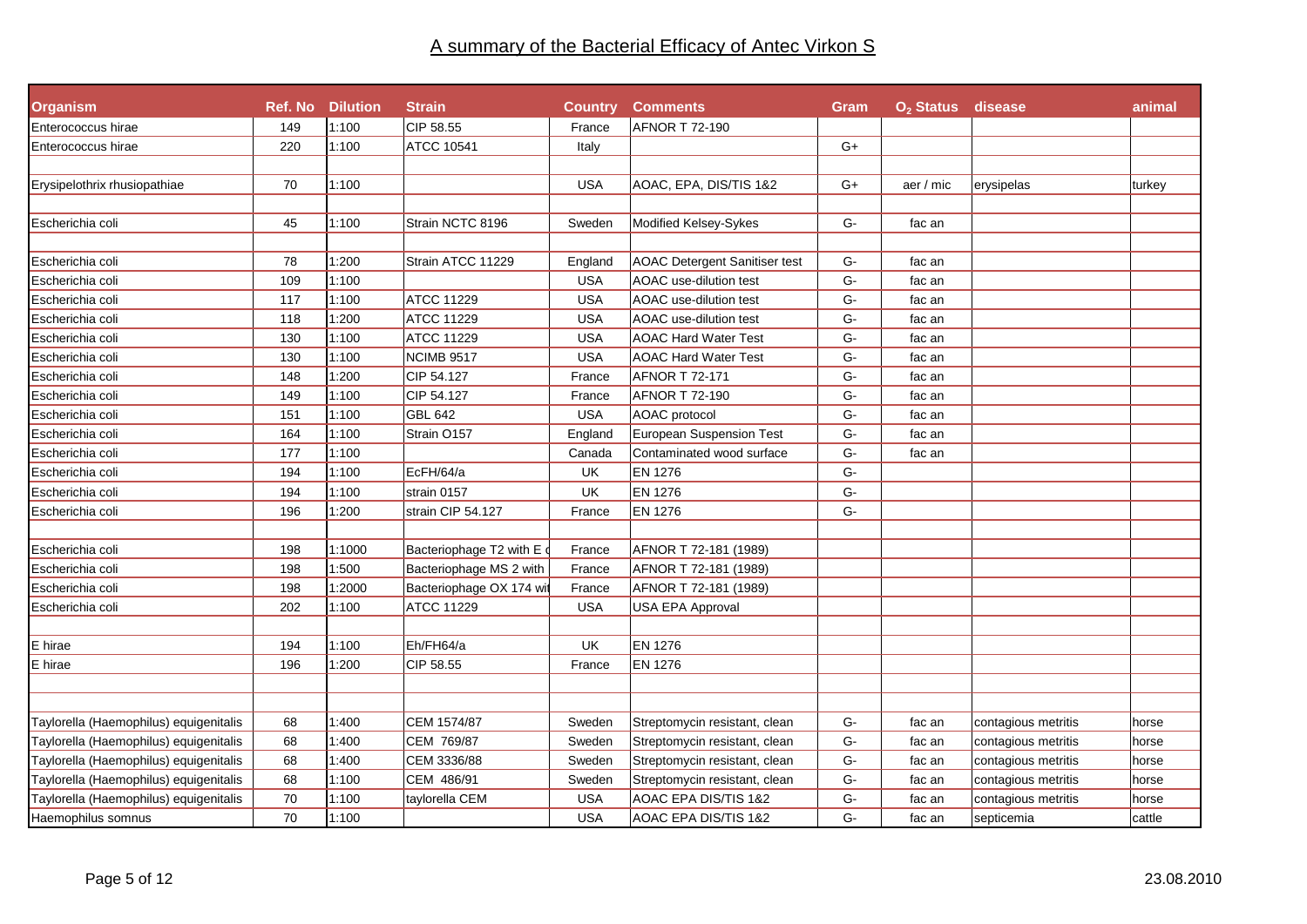| <b>Organism</b>                        |     | <b>Ref. No Dilution</b> | <b>Strain</b>            | Country    | <b>Comments</b>                      | Gram          | O <sub>2</sub> Status disease |                     | animal |
|----------------------------------------|-----|-------------------------|--------------------------|------------|--------------------------------------|---------------|-------------------------------|---------------------|--------|
| Enterococcus hirae                     | 149 | 1:100                   | CIP 58.55                | France     | <b>AFNOR T 72-190</b>                |               |                               |                     |        |
| Enterococcus hirae                     | 220 | 1:100                   | <b>ATCC 10541</b>        | Italy      |                                      | G+            |                               |                     |        |
|                                        |     |                         |                          |            |                                      |               |                               |                     |        |
| Erysipelothrix rhusiopathiae           | 70  | 1:100                   |                          | <b>USA</b> | AOAC, EPA, DIS/TIS 1&2               | G+            | aer / mic                     | erysipelas          | turkey |
|                                        |     |                         |                          |            |                                      |               |                               |                     |        |
| Escherichia coli                       | 45  | 1:100                   | Strain NCTC 8196         | Sweden     | Modified Kelsey-Sykes                | $G-$          | fac an                        |                     |        |
|                                        |     |                         |                          |            |                                      |               |                               |                     |        |
| Escherichia coli                       | 78  | 1:200                   | Strain ATCC 11229        | England    | <b>AOAC Detergent Sanitiser test</b> | $G-$          | fac an                        |                     |        |
| Escherichia coli                       | 109 | 1:100                   |                          | <b>USA</b> | AOAC use-dilution test               | G-            | fac an                        |                     |        |
| Escherichia coli                       | 117 | 1:100                   | ATCC 11229               | <b>USA</b> | AOAC use-dilution test               | G-            | fac an                        |                     |        |
| Escherichia coli                       | 118 | 1:200                   | <b>ATCC 11229</b>        | <b>USA</b> | AOAC use-dilution test               | G-            | fac an                        |                     |        |
| Escherichia coli                       | 130 | 1:100                   | <b>ATCC 11229</b>        | <b>USA</b> | <b>AOAC Hard Water Test</b>          | G-            | fac an                        |                     |        |
| Escherichia coli                       | 130 | 1:100                   | <b>NCIMB 9517</b>        | <b>USA</b> | <b>AOAC Hard Water Test</b>          | G-            | fac an                        |                     |        |
| Escherichia coli                       | 148 | 1:200                   | CIP 54.127               | France     | AFNOR T 72-171                       | G-            | fac an                        |                     |        |
| Escherichia coli                       | 149 | 1:100                   | CIP 54.127               | France     | AFNOR T 72-190                       | G-            | fac an                        |                     |        |
| Escherichia coli                       | 151 | 1:100                   | <b>GBL 642</b>           | <b>USA</b> | AOAC protocol                        | G-            | fac an                        |                     |        |
| Escherichia coli                       | 164 | 1:100                   | Strain O157              | England    | <b>European Suspension Test</b>      | G-            | fac an                        |                     |        |
| Escherichia coli                       | 177 | 1:100                   |                          | Canada     | Contaminated wood surface            | G-            | fac an                        |                     |        |
| Escherichia coli                       | 194 | 1:100                   | EcFH/64/a                | UK         | <b>EN 1276</b>                       | G-            |                               |                     |        |
| Escherichia coli                       | 194 | 1:100                   | strain 0157              | UK         | <b>EN 1276</b>                       | G-            |                               |                     |        |
| Escherichia coli                       | 196 | 1:200                   | strain CIP 54.127        | France     | <b>EN 1276</b>                       | G-            |                               |                     |        |
|                                        |     |                         |                          |            |                                      |               |                               |                     |        |
| Escherichia coli                       | 198 | 1:1000                  | Bacteriophage T2 with E  | France     | AFNOR T 72-181 (1989)                |               |                               |                     |        |
| Escherichia coli                       | 198 | 1:500                   | Bacteriophage MS 2 with  | France     | AFNOR T 72-181 (1989)                |               |                               |                     |        |
| Escherichia coli                       | 198 | 1:2000                  | Bacteriophage OX 174 wit | France     | AFNOR T 72-181 (1989)                |               |                               |                     |        |
| Escherichia coli                       | 202 | 1:100                   | <b>ATCC 11229</b>        | <b>USA</b> | USA EPA Approval                     |               |                               |                     |        |
|                                        |     |                         |                          |            |                                      |               |                               |                     |        |
| E hirae                                | 194 | 1:100                   | Eh/FH64/a                | UK         | <b>EN 1276</b>                       |               |                               |                     |        |
| E hirae                                | 196 | 1:200                   | CIP 58.55                | France     | EN 1276                              |               |                               |                     |        |
|                                        |     |                         |                          |            |                                      |               |                               |                     |        |
|                                        |     |                         |                          |            |                                      |               |                               |                     |        |
| Taylorella (Haemophilus) equigenitalis | 68  | 1:400                   | CEM 1574/87              | Sweden     | Streptomycin resistant, clean        | G-            | fac an                        | contagious metritis | horse  |
| Taylorella (Haemophilus) equigenitalis | 68  | 1:400                   | CEM 769/87               | Sweden     | Streptomycin resistant, clean        | ${\mathsf G}$ | fac an                        | contagious metritis | horse  |
| Taylorella (Haemophilus) equigenitalis | 68  | 1:400                   | CEM 3336/88              | Sweden     | Streptomycin resistant, clean        | G-            | fac an                        | contagious metritis | horse  |
| Taylorella (Haemophilus) equigenitalis | 68  | 1:100                   | CEM 486/91               | Sweden     | Streptomycin resistant, clean        | G-            | fac an                        | contagious metritis | horse  |
| Taylorella (Haemophilus) equigenitalis | 70  | 1:100                   | taylorella CEM           | <b>USA</b> | AOAC EPA DIS/TIS 1&2                 | G-            | fac an                        | contagious metritis | horse  |
| Haemophilus somnus                     | 70  | 1:100                   |                          | <b>USA</b> | AOAC EPA DIS/TIS 1&2                 | G-            | fac an                        | septicemia          | cattle |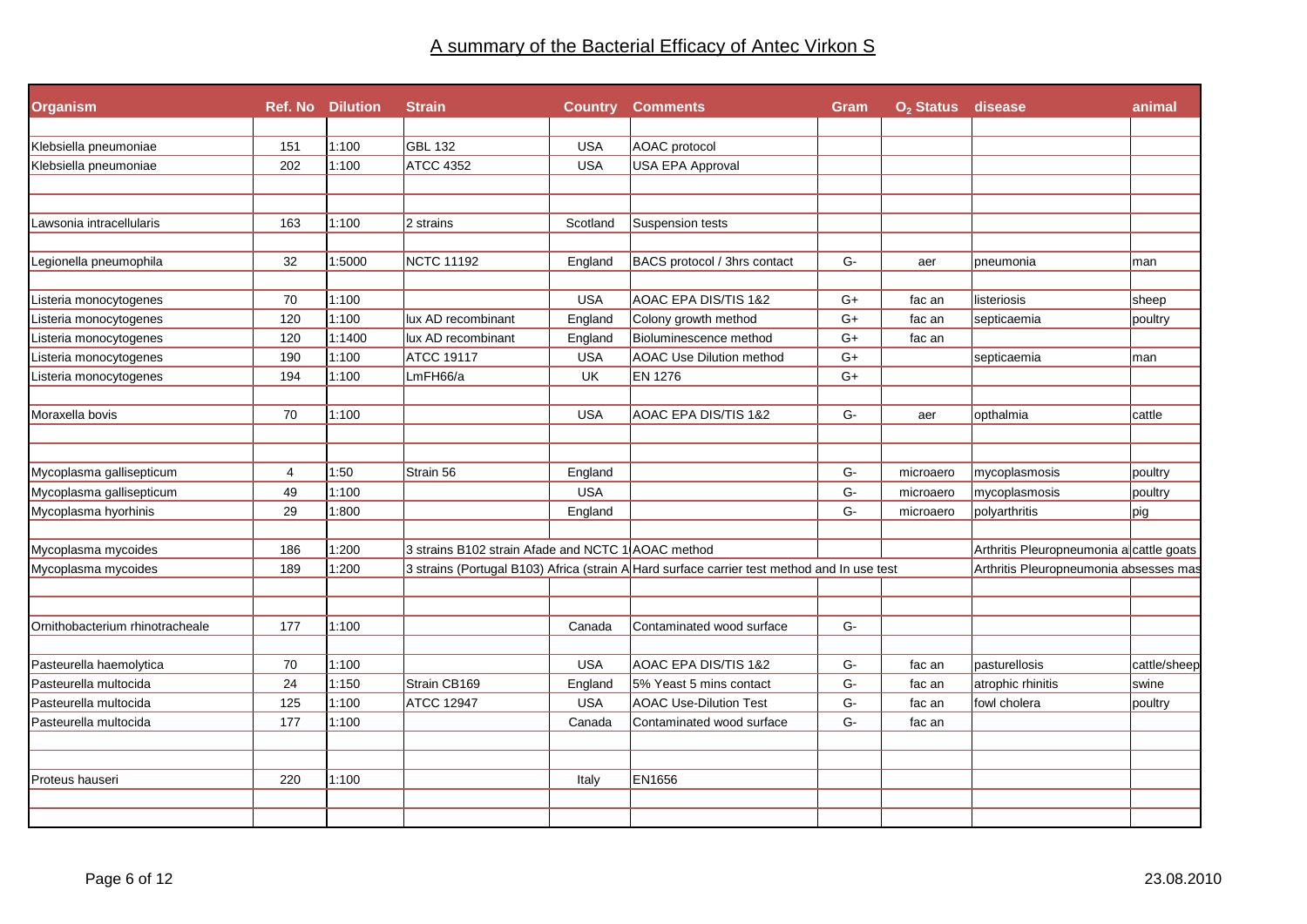|                | <b>Ref. No Dilution</b>       | <b>Strain</b>                                     |                                                 | <b>Country Comments</b>                                                           | Gram                                                                                                                                                | O <sub>2</sub> Status disease |                                                                                                          | animal                                                                                                                                |
|----------------|-------------------------------|---------------------------------------------------|-------------------------------------------------|-----------------------------------------------------------------------------------|-----------------------------------------------------------------------------------------------------------------------------------------------------|-------------------------------|----------------------------------------------------------------------------------------------------------|---------------------------------------------------------------------------------------------------------------------------------------|
|                |                               |                                                   |                                                 |                                                                                   |                                                                                                                                                     |                               |                                                                                                          |                                                                                                                                       |
|                |                               |                                                   |                                                 |                                                                                   |                                                                                                                                                     |                               |                                                                                                          |                                                                                                                                       |
|                |                               |                                                   |                                                 |                                                                                   |                                                                                                                                                     |                               |                                                                                                          |                                                                                                                                       |
| 163            | 1:100                         | 2 strains                                         | Scotland                                        | Suspension tests                                                                  |                                                                                                                                                     |                               |                                                                                                          |                                                                                                                                       |
| 32             | 1:5000                        | NCTC 11192                                        | England                                         | BACS protocol / 3hrs contact                                                      | G-                                                                                                                                                  | aer                           | pneumonia                                                                                                | man                                                                                                                                   |
| 70             | 1:100                         |                                                   | <b>USA</b>                                      | AOAC EPA DIS/TIS 1&2                                                              | $G+$                                                                                                                                                | fac an                        | listeriosis                                                                                              | sheep                                                                                                                                 |
| 120            | 1:100                         | lux AD recombinant                                |                                                 |                                                                                   | $G+$                                                                                                                                                | fac an                        | septicaemia                                                                                              | poultry                                                                                                                               |
| 120            | 1:1400                        | lux AD recombinant                                | England                                         | Bioluminescence method                                                            | $G+$                                                                                                                                                | fac an                        |                                                                                                          |                                                                                                                                       |
| 190            | 1:100                         | <b>ATCC 19117</b>                                 | <b>USA</b>                                      | <b>AOAC Use Dilution method</b>                                                   | $G+$                                                                                                                                                |                               | septicaemia                                                                                              | man                                                                                                                                   |
| 194            | 1:100                         | LmFH66/a                                          | UK                                              | <b>EN 1276</b>                                                                    | $G+$                                                                                                                                                |                               |                                                                                                          |                                                                                                                                       |
| 70             | 1:100                         |                                                   | <b>USA</b>                                      | AOAC EPA DIS/TIS 1&2                                                              | G-                                                                                                                                                  | aer                           | opthalmia                                                                                                | cattle                                                                                                                                |
|                |                               |                                                   |                                                 |                                                                                   |                                                                                                                                                     |                               |                                                                                                          |                                                                                                                                       |
| $\overline{4}$ |                               |                                                   |                                                 |                                                                                   |                                                                                                                                                     | microaero                     |                                                                                                          | poultry                                                                                                                               |
|                |                               |                                                   |                                                 |                                                                                   |                                                                                                                                                     | microaero                     |                                                                                                          | poultry                                                                                                                               |
|                |                               |                                                   |                                                 |                                                                                   |                                                                                                                                                     |                               |                                                                                                          | pig                                                                                                                                   |
| 186            | 1:200                         |                                                   |                                                 |                                                                                   |                                                                                                                                                     |                               |                                                                                                          |                                                                                                                                       |
| 189            | 1:200                         |                                                   |                                                 |                                                                                   |                                                                                                                                                     |                               |                                                                                                          |                                                                                                                                       |
|                |                               |                                                   |                                                 |                                                                                   |                                                                                                                                                     |                               |                                                                                                          |                                                                                                                                       |
|                |                               |                                                   |                                                 |                                                                                   |                                                                                                                                                     |                               |                                                                                                          |                                                                                                                                       |
| 70             | 1:100                         |                                                   | <b>USA</b>                                      | AOAC EPA DIS/TIS 1&2                                                              | G-                                                                                                                                                  | fac an                        | pasturellosis                                                                                            | cattle/sheep                                                                                                                          |
| 24             | 1:150                         | Strain CB169                                      | England                                         | 5% Yeast 5 mins contact                                                           | G-                                                                                                                                                  | fac an                        | atrophic rhinitis                                                                                        | swine                                                                                                                                 |
| 125            | 1:100                         | <b>ATCC 12947</b>                                 | <b>USA</b>                                      | <b>AOAC Use-Dilution Test</b>                                                     | $G-$                                                                                                                                                | fac an                        | fowl cholera                                                                                             | poultry                                                                                                                               |
| 177            | 1:100                         |                                                   | Canada                                          | Contaminated wood surface                                                         | G-                                                                                                                                                  | fac an                        |                                                                                                          |                                                                                                                                       |
|                |                               |                                                   |                                                 |                                                                                   |                                                                                                                                                     |                               |                                                                                                          |                                                                                                                                       |
|                | 151<br>202<br>49<br>29<br>177 | 1:100<br>1:100<br>1:50<br>1:100<br>1:800<br>1:100 | <b>GBL 132</b><br><b>ATCC 4352</b><br>Strain 56 | <b>USA</b><br><b>USA</b><br>England<br>England<br><b>USA</b><br>England<br>Canada | AOAC protocol<br><b>USA EPA Approval</b><br>Colony growth method<br>3 strains B102 strain Afade and NCTC 1 AOAC method<br>Contaminated wood surface | G-<br>$G-$<br>G-<br>$G-$      | microaero<br>3 strains (Portugal B103) Africa (strain A Hard surface carrier test method and In use test | mycoplasmosis<br>mycoplasmosis<br>polyarthritis<br>Arthritis Pleuropneumonia a cattle goats<br>Arthritis Pleuropneumonia absesses mas |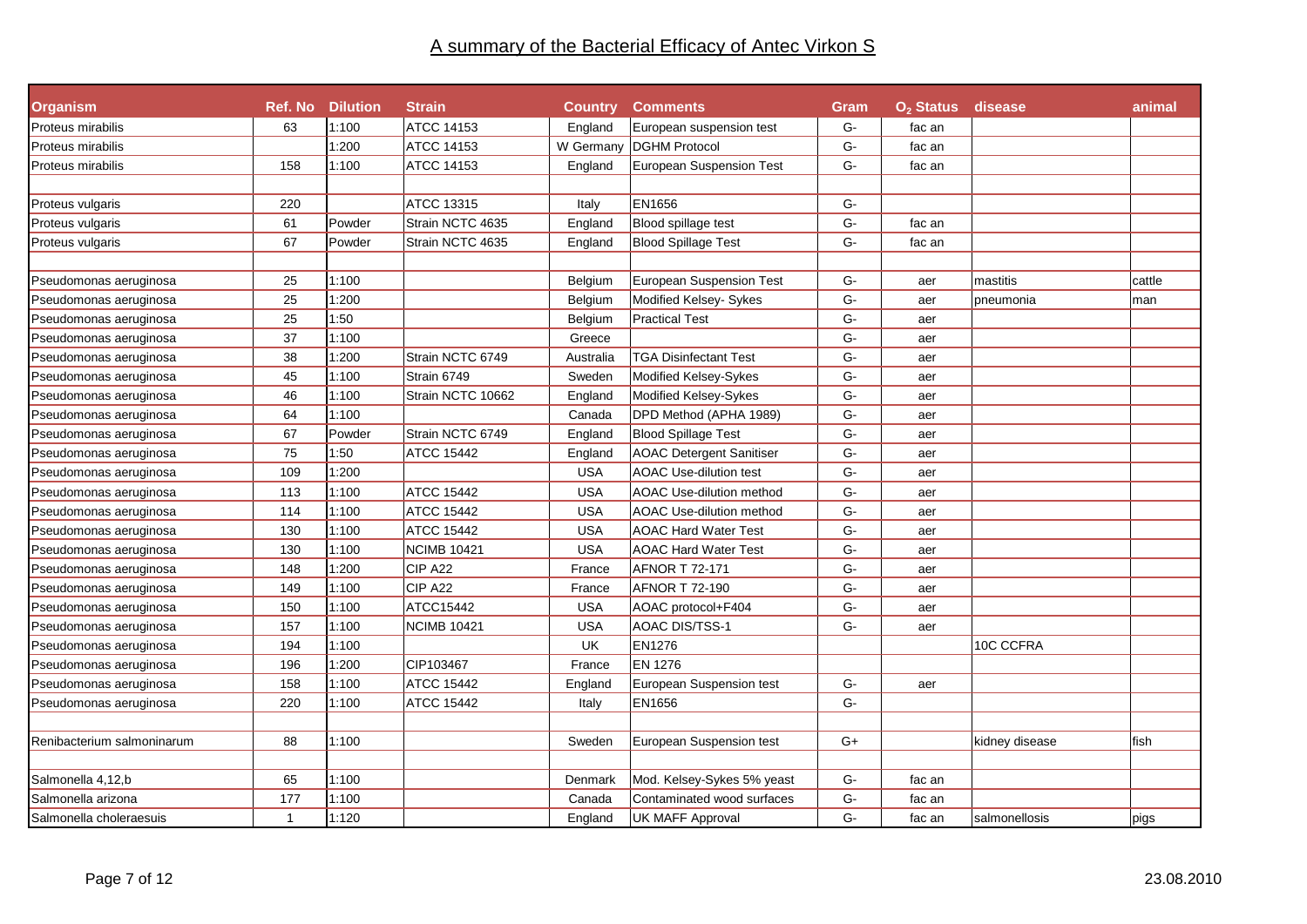| <b>Organism</b>            |              | <b>Ref. No Dilution</b> | <b>Strain</b>      |            | <b>Country Comments</b>         | Gram          | O <sub>2</sub> Status disease |                | animal |
|----------------------------|--------------|-------------------------|--------------------|------------|---------------------------------|---------------|-------------------------------|----------------|--------|
| Proteus mirabilis          | 63           | 1:100                   | <b>ATCC 14153</b>  | England    | European suspension test        | G-            | fac an                        |                |        |
| Proteus mirabilis          |              | 1:200                   | ATCC 14153         | W Germany  | <b>DGHM Protocol</b>            | G-            | fac an                        |                |        |
| Proteus mirabilis          | 158          | 1:100                   | ATCC 14153         | England    | European Suspension Test        | G-            | fac an                        |                |        |
|                            |              |                         |                    |            |                                 |               |                               |                |        |
| Proteus vulgaris           | 220          |                         | ATCC 13315         | Italy      | EN1656                          | G-            |                               |                |        |
| Proteus vulgaris           | 61           | Powder                  | Strain NCTC 4635   | England    | Blood spillage test             | ${\mathsf G}$ | fac an                        |                |        |
| Proteus vulgaris           | 67           | Powder                  | Strain NCTC 4635   | England    | <b>Blood Spillage Test</b>      | G-            | fac an                        |                |        |
|                            |              |                         |                    |            |                                 |               |                               |                |        |
| Pseudomonas aeruginosa     | 25           | 1:100                   |                    | Belgium    | <b>European Suspension Test</b> | G-            | aer                           | mastitis       | cattle |
| Pseudomonas aeruginosa     | 25           | 1:200                   |                    | Belgium    | Modified Kelsey- Sykes          | ${\mathsf G}$ | aer                           | pneumonia      | man    |
| Pseudomonas aeruginosa     | 25           | 1:50                    |                    | Belgium    | <b>Practical Test</b>           | G-            | aer                           |                |        |
| Pseudomonas aeruginosa     | 37           | 1:100                   |                    | Greece     |                                 | $G-$          | aer                           |                |        |
| Pseudomonas aeruginosa     | 38           | 1:200                   | Strain NCTC 6749   | Australia  | <b>TGA Disinfectant Test</b>    | $G-$          | aer                           |                |        |
| Pseudomonas aeruginosa     | 45           | 1:100                   | Strain 6749        | Sweden     | Modified Kelsey-Sykes           | G-            | aer                           |                |        |
| Pseudomonas aeruginosa     | 46           | 1:100                   | Strain NCTC 10662  | England    | Modified Kelsey-Sykes           | $G-$          | aer                           |                |        |
| Pseudomonas aeruginosa     | 64           | 1:100                   |                    | Canada     | DPD Method (APHA 1989)          | $G-$          | aer                           |                |        |
| Pseudomonas aeruginosa     | 67           | Powder                  | Strain NCTC 6749   | England    | <b>Blood Spillage Test</b>      | G-            | aer                           |                |        |
| Pseudomonas aeruginosa     | 75           | 1:50                    | <b>ATCC 15442</b>  | England    | <b>AOAC Detergent Sanitiser</b> | G-            | aer                           |                |        |
| Pseudomonas aeruginosa     | 109          | 1:200                   |                    | <b>USA</b> | <b>AOAC Use-dilution test</b>   | G-            | aer                           |                |        |
| Pseudomonas aeruginosa     | 113          | 1:100                   | <b>ATCC 15442</b>  | <b>USA</b> | <b>AOAC Use-dilution method</b> | $G-$          | aer                           |                |        |
| Pseudomonas aeruginosa     | 114          | 1:100                   | <b>ATCC 15442</b>  | <b>USA</b> | <b>AOAC Use-dilution method</b> | ${\mathsf G}$ | aer                           |                |        |
| Pseudomonas aeruginosa     | 130          | 1:100                   | <b>ATCC 15442</b>  | <b>USA</b> | <b>AOAC Hard Water Test</b>     | G-            | aer                           |                |        |
| Pseudomonas aeruginosa     | 130          | 1:100                   | <b>NCIMB 10421</b> | <b>USA</b> | <b>AOAC Hard Water Test</b>     | ${\mathsf G}$ | aer                           |                |        |
| Pseudomonas aeruginosa     | 148          | 1:200                   | CIP A22            | France     | <b>AFNOR T 72-171</b>           | $G-$          | aer                           |                |        |
| Pseudomonas aeruginosa     | 149          | 1:100                   | CIP A22            | France     | AFNOR T 72-190                  | ${\mathsf G}$ | aer                           |                |        |
| Pseudomonas aeruginosa     | 150          | 1:100                   | ATCC15442          | <b>USA</b> | AOAC protocol+F404              | G-            | aer                           |                |        |
| Pseudomonas aeruginosa     | 157          | 1:100                   | <b>NCIMB 10421</b> | <b>USA</b> | AOAC DIS/TSS-1                  | G-            | aer                           |                |        |
| Pseudomonas aeruginosa     | 194          | 1:100                   |                    | UK         | EN1276                          |               |                               | 10C CCFRA      |        |
| Pseudomonas aeruginosa     | 196          | 1:200                   | CIP103467          | France     | EN 1276                         |               |                               |                |        |
| Pseudomonas aeruginosa     | 158          | 1:100                   | <b>ATCC 15442</b>  | England    | European Suspension test        | $G-$          | aer                           |                |        |
| Pseudomonas aeruginosa     | 220          | 1:100                   | ATCC 15442         | Italy      | EN1656                          | $G-$          |                               |                |        |
|                            |              |                         |                    |            |                                 |               |                               |                |        |
| Renibacterium salmoninarum | 88           | 1:100                   |                    | Sweden     | European Suspension test        | $G+$          |                               | kidney disease | fish   |
|                            |              |                         |                    |            |                                 |               |                               |                |        |
| Salmonella 4,12,b          | 65           | 1:100                   |                    | Denmark    | Mod. Kelsey-Sykes 5% yeast      | G-            | fac an                        |                |        |
| Salmonella arizona         | 177          | 1:100                   |                    | Canada     | Contaminated wood surfaces      | ${\mathsf G}$ | fac an                        |                |        |
| Salmonella choleraesuis    | $\mathbf{1}$ | 1:120                   |                    | England    | <b>UK MAFF Approval</b>         | G-            | fac an                        | salmonellosis  | pigs   |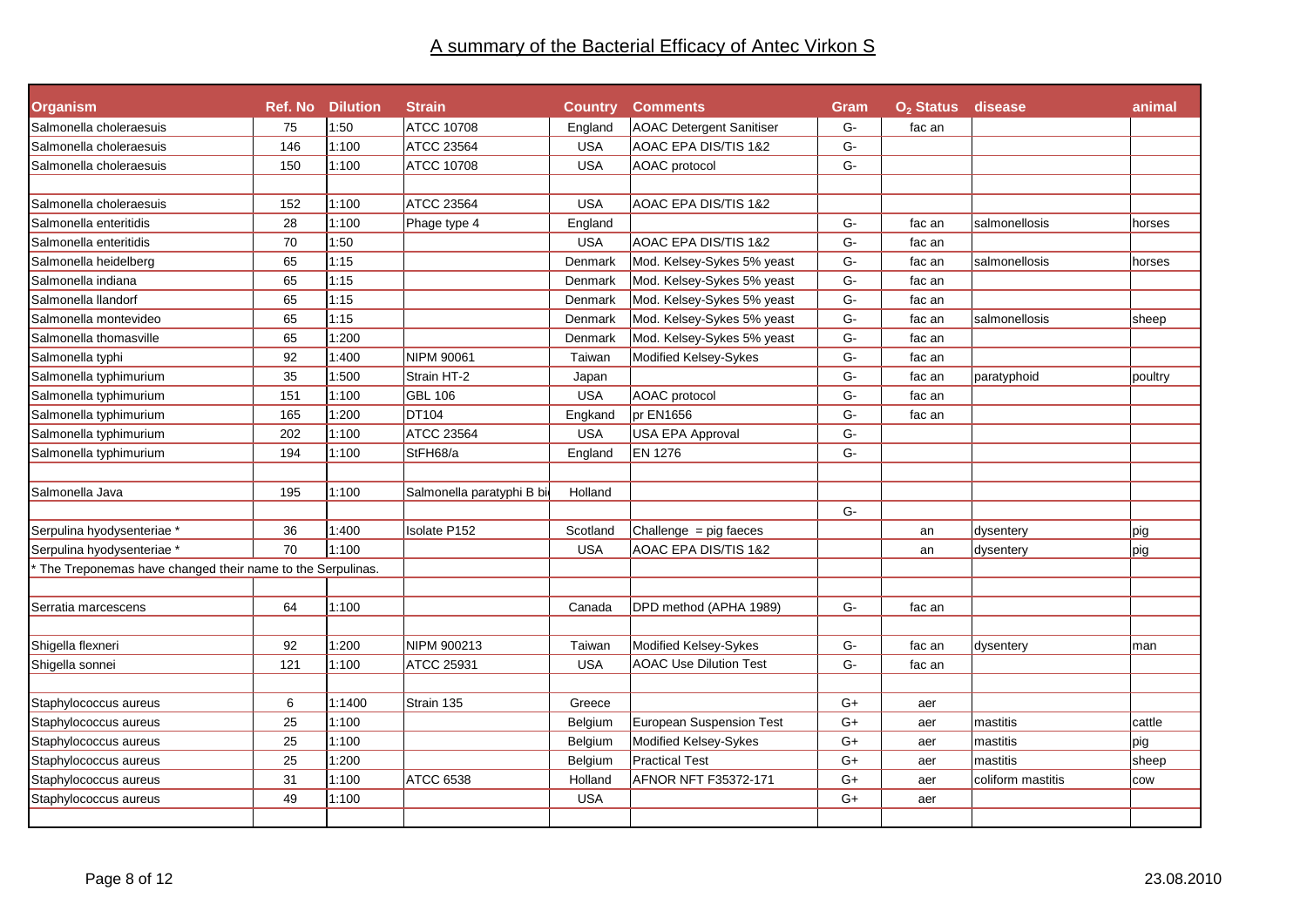| <b>Organism</b>                                           |     | <b>Ref. No Dilution</b> | <b>Strain</b>             | <b>Country</b> | <b>Comments</b>                 | Gram | O <sub>2</sub> Status disease |                   | animal  |
|-----------------------------------------------------------|-----|-------------------------|---------------------------|----------------|---------------------------------|------|-------------------------------|-------------------|---------|
| Salmonella choleraesuis                                   | 75  | 1:50                    | <b>ATCC 10708</b>         | England        | <b>AOAC Detergent Sanitiser</b> | G-   | fac an                        |                   |         |
| Salmonella choleraesuis                                   | 146 | 1:100                   | ATCC 23564                | <b>USA</b>     | AOAC EPA DIS/TIS 1&2            | G-   |                               |                   |         |
| Salmonella choleraesuis                                   | 150 | 1:100                   | <b>ATCC 10708</b>         | <b>USA</b>     | AOAC protocol                   | G-   |                               |                   |         |
|                                                           |     |                         |                           |                |                                 |      |                               |                   |         |
| Salmonella choleraesuis                                   | 152 | 1:100                   | ATCC 23564                | <b>USA</b>     | AOAC EPA DIS/TIS 1&2            |      |                               |                   |         |
| Salmonella enteritidis                                    | 28  | 1:100                   | Phage type 4              | England        |                                 | G-   | fac an                        | salmonellosis     | horses  |
| Salmonella enteritidis                                    | 70  | 1:50                    |                           | <b>USA</b>     | AOAC EPA DIS/TIS 1&2            | G-   | fac an                        |                   |         |
| Salmonella heidelberg                                     | 65  | 1:15                    |                           | Denmark        | Mod. Kelsey-Sykes 5% yeast      | G-   | fac an                        | salmonellosis     | horses  |
| Salmonella indiana                                        | 65  | 1:15                    |                           | Denmark        | Mod. Kelsey-Sykes 5% yeast      | G-   | fac an                        |                   |         |
| Salmonella llandorf                                       | 65  | 1:15                    |                           | Denmark        | Mod. Kelsey-Sykes 5% yeast      | $G-$ | fac an                        |                   |         |
| Salmonella montevideo                                     | 65  | 1:15                    |                           | Denmark        | Mod. Kelsey-Sykes 5% yeast      | G-   | fac an                        | salmonellosis     | sheep   |
| Salmonella thomasville                                    | 65  | 1:200                   |                           | Denmark        | Mod. Kelsey-Sykes 5% yeast      | G-   | fac an                        |                   |         |
| Salmonella typhi                                          | 92  | 1:400                   | NIPM 90061                | Taiwan         | Modified Kelsey-Sykes           | G-   | fac an                        |                   |         |
| Salmonella typhimurium                                    | 35  | 1:500                   | Strain HT-2               | Japan          |                                 | G-   | fac an                        | paratyphoid       | poultry |
| Salmonella typhimurium                                    | 151 | 1:100                   | <b>GBL 106</b>            | <b>USA</b>     | AOAC protocol                   | G-   | fac an                        |                   |         |
| Salmonella typhimurium                                    | 165 | 1:200                   | DT104                     | Engkand        | pr EN1656                       | G-   | fac an                        |                   |         |
| Salmonella typhimurium                                    | 202 | 1:100                   | ATCC 23564                | <b>USA</b>     | USA EPA Approval                | G-   |                               |                   |         |
| Salmonella typhimurium                                    | 194 | 1:100                   | StFH68/a                  | England        | <b>EN 1276</b>                  | G-   |                               |                   |         |
|                                                           |     |                         |                           |                |                                 |      |                               |                   |         |
| Salmonella Java                                           | 195 | 1:100                   | Salmonella paratyphi B bi | Holland        |                                 |      |                               |                   |         |
|                                                           |     |                         |                           |                |                                 | $G-$ |                               |                   |         |
| Serpulina hyodysenteriae *                                | 36  | 1:400                   | Isolate P152              | Scotland       | Challenge $=$ pig faeces        |      | an                            | dysentery         | pig     |
| Serpulina hyodysenteriae *                                | 70  | 1:100                   |                           | <b>USA</b>     | AOAC EPA DIS/TIS 1&2            |      | an                            | dysentery         | pig     |
| The Treponemas have changed their name to the Serpulinas. |     |                         |                           |                |                                 |      |                               |                   |         |
|                                                           |     |                         |                           |                |                                 |      |                               |                   |         |
| Serratia marcescens                                       | 64  | 1:100                   |                           | Canada         | DPD method (APHA 1989)          | G-   | fac an                        |                   |         |
|                                                           |     |                         |                           |                |                                 |      |                               |                   |         |
| Shigella flexneri                                         | 92  | 1:200                   | NIPM 900213               | Taiwan         | Modified Kelsey-Sykes           | G-   | fac an                        | dysentery         | man     |
| Shigella sonnei                                           | 121 | 1:100                   | ATCC 25931                | <b>USA</b>     | <b>AOAC Use Dilution Test</b>   | G-   | fac an                        |                   |         |
|                                                           |     |                         |                           |                |                                 |      |                               |                   |         |
| Staphylococcus aureus                                     | 6   | 1:1400                  | Strain 135                | Greece         |                                 | $G+$ | aer                           |                   |         |
| Staphylococcus aureus                                     | 25  | 1:100                   |                           | Belgium        | <b>European Suspension Test</b> | $G+$ | aer                           | mastitis          | cattle  |
| Staphylococcus aureus                                     | 25  | 1:100                   |                           | Belgium        | Modified Kelsey-Sykes           | $G+$ | aer                           | mastitis          | pig     |
| Staphylococcus aureus                                     | 25  | 1:200                   |                           | Belgium        | <b>Practical Test</b>           | $G+$ | aer                           | mastitis          | sheep   |
| Staphylococcus aureus                                     | 31  | 1:100                   | <b>ATCC 6538</b>          | Holland        | AFNOR NFT F35372-171            | $G+$ | aer                           | coliform mastitis | cow     |
| Staphylococcus aureus                                     | 49  | 1:100                   |                           | <b>USA</b>     |                                 | G+   | aer                           |                   |         |
|                                                           |     |                         |                           |                |                                 |      |                               |                   |         |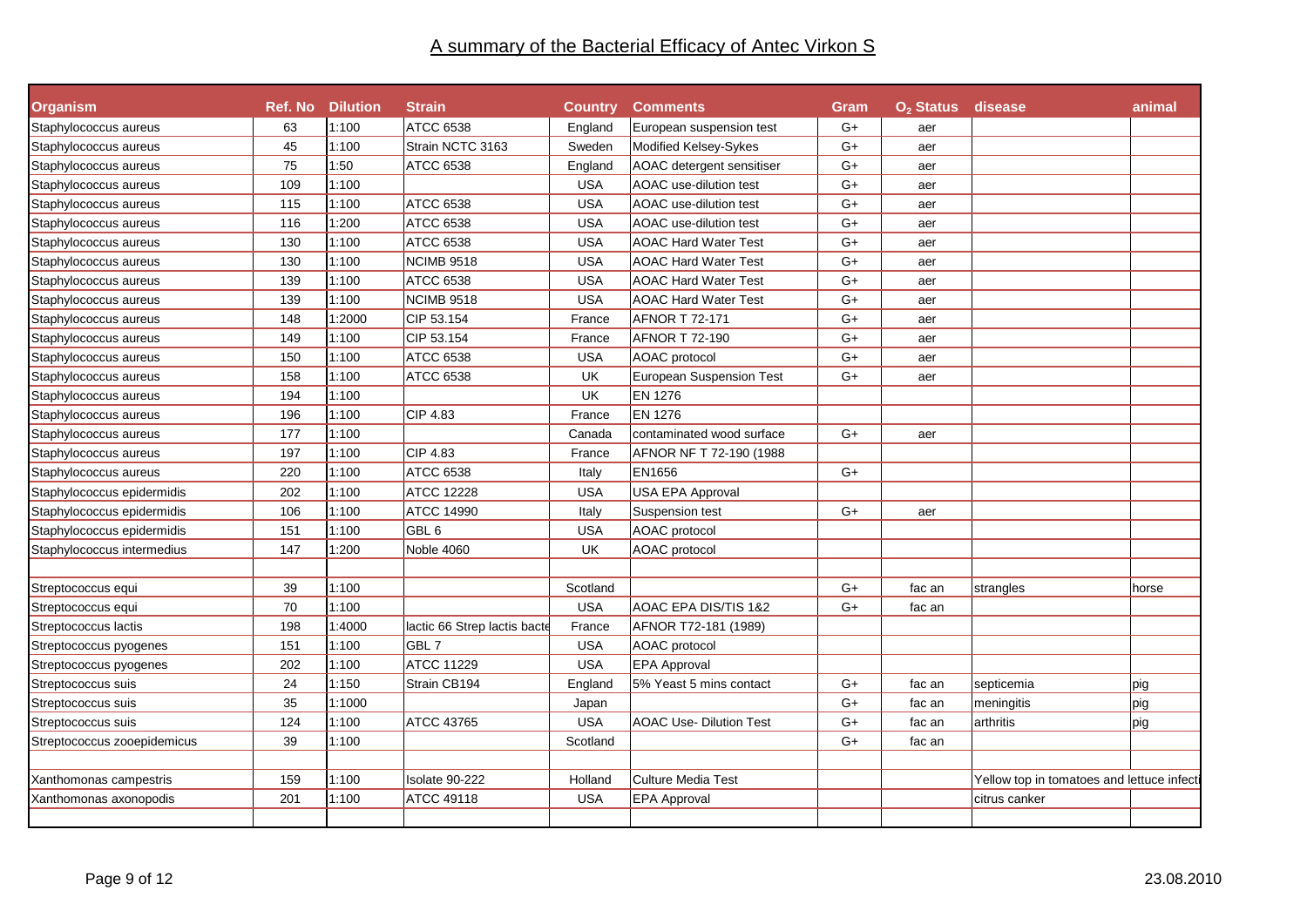| animal                                    |
|-------------------------------------------|
|                                           |
|                                           |
|                                           |
|                                           |
|                                           |
|                                           |
|                                           |
|                                           |
|                                           |
|                                           |
|                                           |
|                                           |
|                                           |
|                                           |
|                                           |
|                                           |
|                                           |
|                                           |
|                                           |
|                                           |
|                                           |
|                                           |
|                                           |
|                                           |
| horse                                     |
|                                           |
|                                           |
|                                           |
|                                           |
| pig                                       |
| pig                                       |
| pig                                       |
|                                           |
|                                           |
| Yellow top in tomatoes and lettuce infect |
|                                           |
|                                           |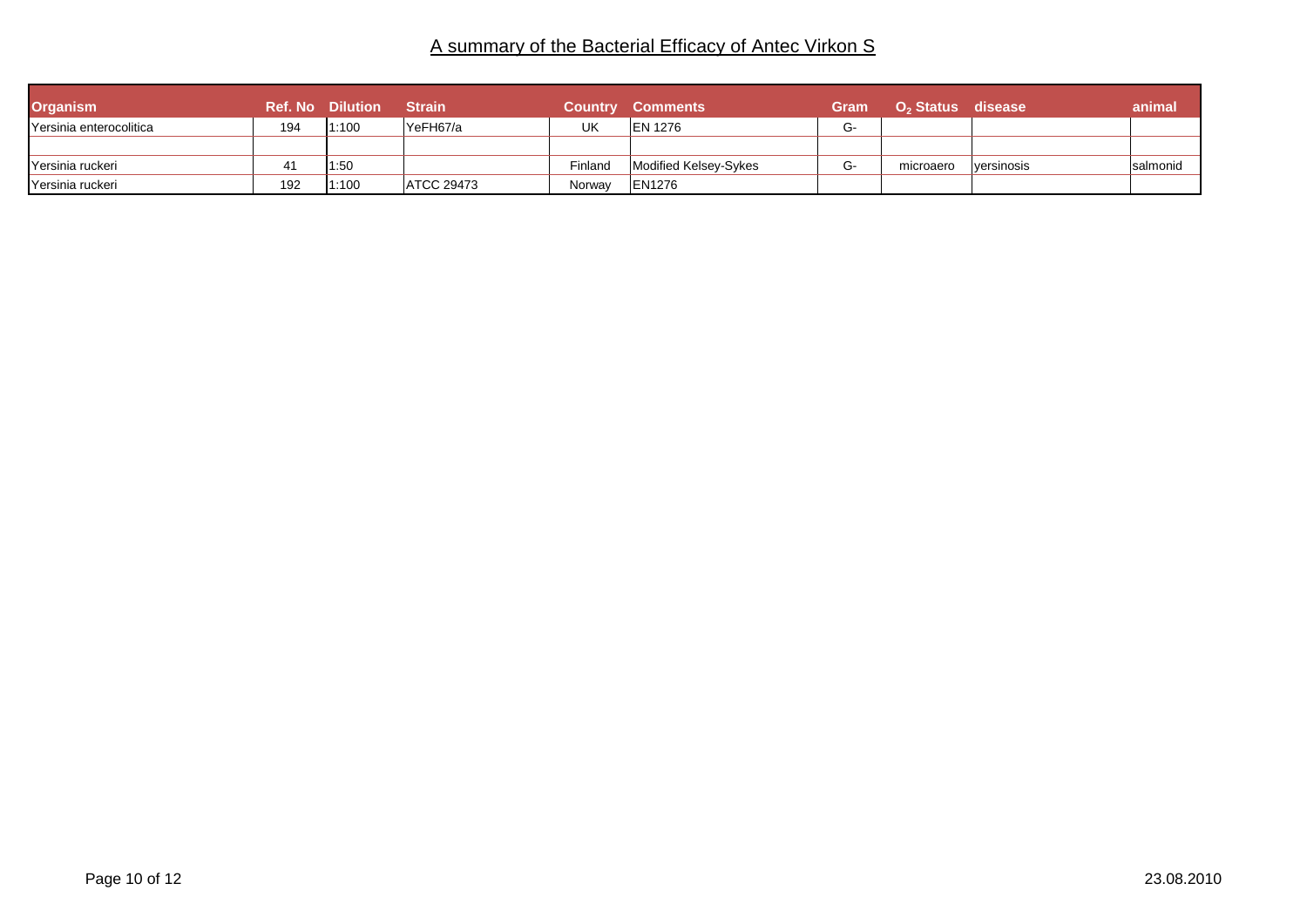| <b>Organism</b>         |     | <b>Ref. No Dilution</b> | <b>Strain</b>     | <b>Country</b> | <b>Comments</b>       | Gram | ∣ O <sub>2</sub> Status disease <sup>।</sup> |             | animal    |
|-------------------------|-----|-------------------------|-------------------|----------------|-----------------------|------|----------------------------------------------|-------------|-----------|
| Yersinia enterocolitica | 194 | 1:100                   | lYeFH67/a         | UK             | <b>IEN 1276</b>       | G-   |                                              |             |           |
|                         |     |                         |                   |                |                       |      |                                              |             |           |
| IYersinia ruckeri       |     | 1:50                    |                   | Finland        | Modified Kelsey-Sykes | G-   | microaero                                    | lversinosis | Isalmonid |
| Yersinia ruckeri        | 192 | 1:100                   | <b>ATCC 29473</b> | Norwav         | <b>EN1276</b>         |      |                                              |             |           |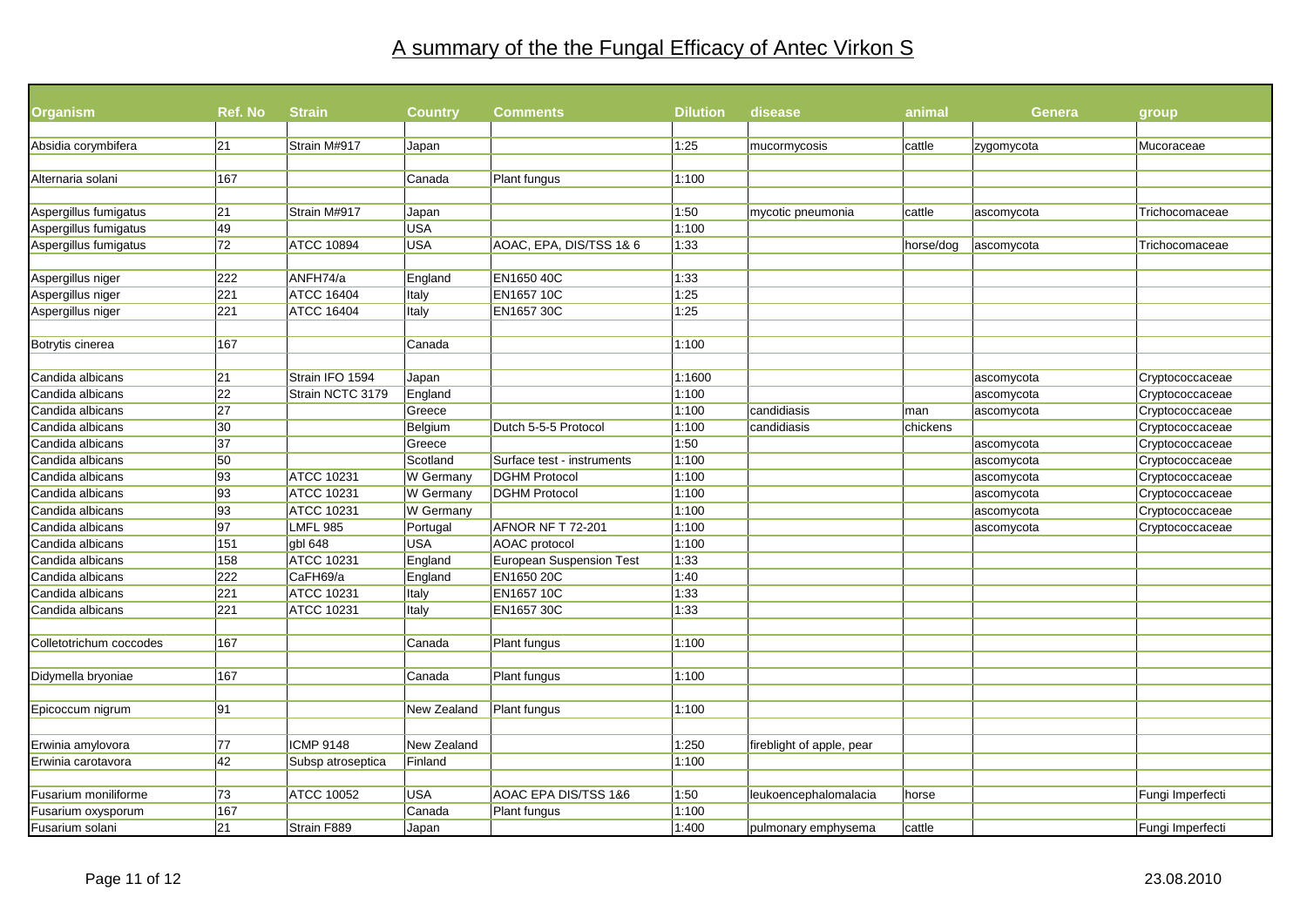# A summary of the the Fungal Efficacy of Antec Virkon S

| <b>Organism</b>                                | Ref. No         | <b>Strain</b>     | Country     | <b>Comments</b>                 | <b>Dilution</b> | disease                   | animal    | <b>Genera</b> | group'           |
|------------------------------------------------|-----------------|-------------------|-------------|---------------------------------|-----------------|---------------------------|-----------|---------------|------------------|
| Absidia corymbifera                            | 21              | Strain M#917      |             |                                 | 1:25            |                           | cattle    |               | Mucoraceae       |
|                                                |                 |                   | Japan       |                                 |                 | mucormycosis              |           | zygomycota    |                  |
|                                                | 167             |                   | Canada      |                                 | 1:100           |                           |           |               |                  |
| Alternaria solani                              |                 |                   |             | Plant fungus                    |                 |                           |           |               |                  |
|                                                | 21              | Strain M#917      | Japan       |                                 | 1:50            |                           | cattle    |               | Trichocomaceae   |
| Aspergillus fumigatus<br>Aspergillus fumigatus | 49              |                   | <b>USA</b>  |                                 | 1:100           | mycotic pneumonia         |           | ascomycota    |                  |
| Aspergillus fumigatus                          | 72              | <b>ATCC 10894</b> | <b>USA</b>  | AOAC, EPA, DIS/TSS 1& 6         | 1:33            |                           | horse/dog |               | Trichocomaceae   |
|                                                |                 |                   |             |                                 |                 |                           |           | ascomycota    |                  |
| Aspergillus niger                              | 222             | ANFH74/a          | England     | EN1650 40C                      | 1:33            |                           |           |               |                  |
| Aspergillus niger                              | 221             | <b>ATCC 16404</b> | Italy       | <b>EN165710C</b>                | 1:25            |                           |           |               |                  |
| Aspergillus niger                              | 221             | <b>ATCC 16404</b> | Italy       | <b>EN1657 30C</b>               | 1:25            |                           |           |               |                  |
|                                                |                 |                   |             |                                 |                 |                           |           |               |                  |
| Botrytis cinerea                               | 167             |                   | Canada      |                                 | 1:100           |                           |           |               |                  |
|                                                |                 |                   |             |                                 |                 |                           |           |               |                  |
| Candida albicans                               | 21              | Strain IFO 1594   | Japan       |                                 | 1:1600          |                           |           | ascomycota    | Cryptococcaceae  |
| Candida albicans                               | $\overline{22}$ | Strain NCTC 3179  | England     |                                 | 1:100           |                           |           | ascomycota    | Cryptococcaceae  |
| Candida albicans                               | 27              |                   | Greece      |                                 | 1:100           | candidiasis               | man       | ascomycota    | Cryptococcaceae  |
| Candida albicans                               | 30              |                   | Belgium     | Dutch 5-5-5 Protocol            | 1:100           | candidiasis               | chickens  |               | Cryptococcaceae  |
| Candida albicans                               | 37              |                   | Greece      |                                 | 1:50            |                           |           | ascomycota    | Cryptococcaceae  |
| Candida albicans                               | 50              |                   | Scotland    | Surface test - instruments      | 1:100           |                           |           | ascomycota    | Cryptococcaceae  |
| Candida albicans                               | 93              | <b>ATCC 10231</b> | W Germany   | <b>DGHM Protocol</b>            | 1:100           |                           |           | ascomycota    | Cryptococcaceae  |
| Candida albicans                               | 93              | <b>ATCC 10231</b> | W Germany   | <b>DGHM Protocol</b>            | 1:100           |                           |           | ascomycota    | Cryptococcaceae  |
| Candida albicans                               | 93              | <b>ATCC 10231</b> | W Germany   |                                 | 1:100           |                           |           | ascomycota    | Cryptococcaceae  |
| Candida albicans                               | 97              | LMFL 985          | Portugal    | AFNOR NF T 72-201               | 1:100           |                           |           | ascomycota    | Cryptococcaceae  |
| Candida albicans                               | 151             | gbl 648           | <b>USA</b>  | AOAC protocol                   | 1:100           |                           |           |               |                  |
| Candida albicans                               | 158             | <b>ATCC 10231</b> | England     | <b>European Suspension Test</b> | 1:33            |                           |           |               |                  |
| Candida albicans                               | 222             | CaFH69/a          | England     | EN1650 20C                      | 1:40            |                           |           |               |                  |
| Candida albicans                               | 221             | <b>ATCC 10231</b> | Italy       | <b>EN165710C</b>                | 1:33            |                           |           |               |                  |
| Candida albicans                               | 221             | <b>ATCC 10231</b> | Italy       | EN1657 30C                      | 1:33            |                           |           |               |                  |
|                                                |                 |                   |             |                                 |                 |                           |           |               |                  |
| Colletotrichum coccodes                        | 167             |                   | Canada      | Plant fungus                    | 1:100           |                           |           |               |                  |
|                                                |                 |                   |             |                                 |                 |                           |           |               |                  |
| Didymella bryoniae                             | 167             |                   | Canada      | Plant fungus                    | 1:100           |                           |           |               |                  |
|                                                |                 |                   |             |                                 |                 |                           |           |               |                  |
| Epicoccum nigrum                               | 91              |                   | New Zealand | Plant fungus                    | 1:100           |                           |           |               |                  |
|                                                |                 |                   |             |                                 |                 |                           |           |               |                  |
| Erwinia amylovora                              | 77              | <b>ICMP 9148</b>  | New Zealand |                                 | 1:250           | fireblight of apple, pear |           |               |                  |
| Erwinia carotavora                             | 42              | Subsp atroseptica | Finland     |                                 | 1:100           |                           |           |               |                  |
|                                                |                 |                   |             |                                 |                 |                           |           |               |                  |
| Fusarium moniliforme                           | 73              | <b>ATCC 10052</b> | USA         | AOAC EPA DIS/TSS 1&6            | 1:50            | leukoencephalomalacia     | horse     |               | Fungi Imperfecti |
| Fusarium oxysporum                             | 167             |                   | Canada      | Plant fungus                    | 1:100           |                           |           |               |                  |
| Fusarium solani                                | 21              | Strain F889       | Japan       |                                 | 1:400           | pulmonary emphysema       | cattle    |               | Fungi Imperfecti |
|                                                |                 |                   |             |                                 |                 |                           |           |               |                  |